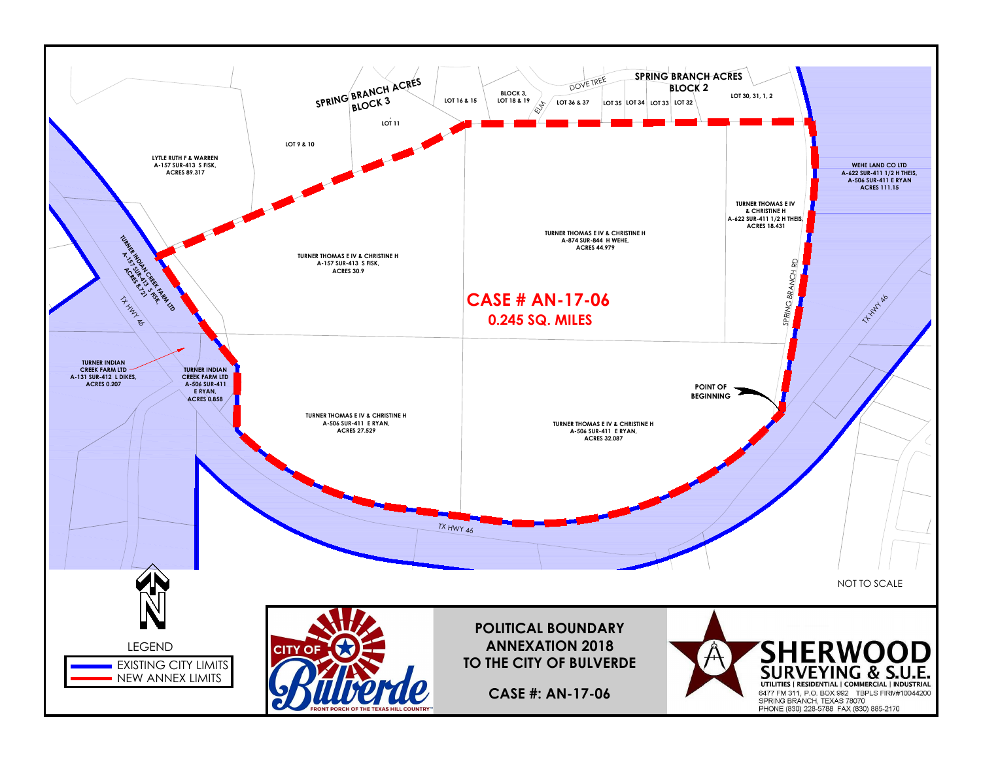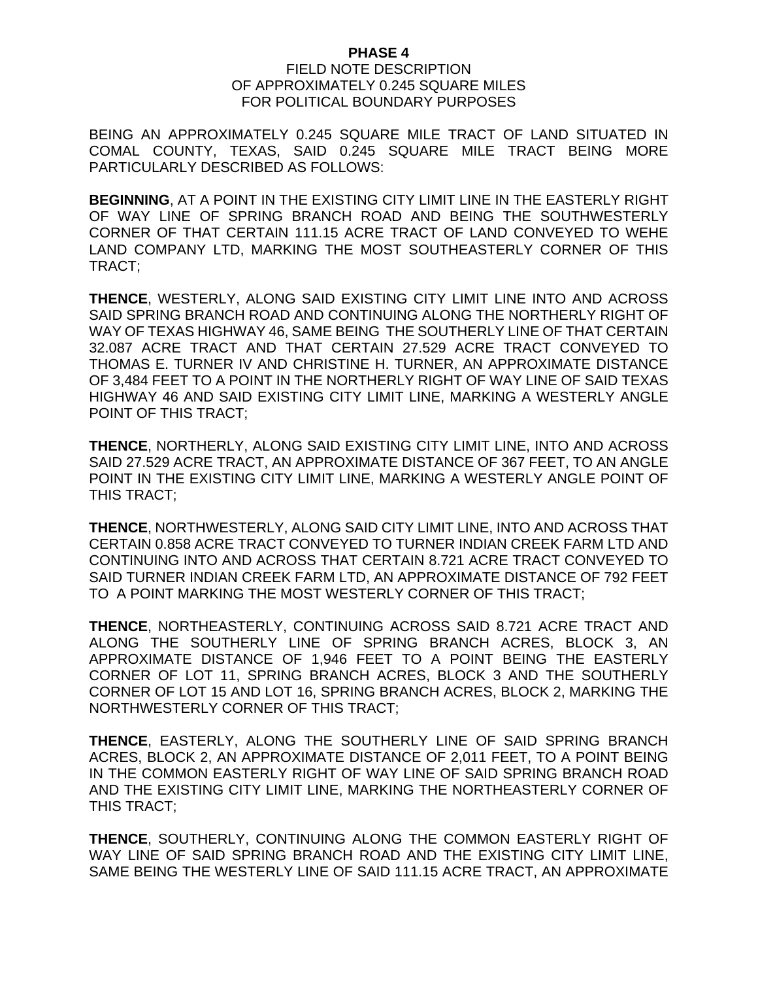## **PHASE 4**

## FIELD NOTE DESCRIPTION OF APPROXIMATELY 0.245 SQUARE MILES FOR POLITICAL BOUNDARY PURPOSES

BEING AN APPROXIMATELY 0.245 SQUARE MILE TRACT OF LAND SITUATED IN COMAL COUNTY, TEXAS, SAID 0.245 SQUARE MILE TRACT BEING MORE PARTICULARLY DESCRIBED AS FOLLOWS:

**BEGINNING**, AT A POINT IN THE EXISTING CITY LIMIT LINE IN THE EASTERLY RIGHT OF WAY LINE OF SPRING BRANCH ROAD AND BEING THE SOUTHWESTERLY CORNER OF THAT CERTAIN 111.15 ACRE TRACT OF LAND CONVEYED TO WEHE LAND COMPANY LTD, MARKING THE MOST SOUTHEASTERLY CORNER OF THIS TRACT;

**THENCE**, WESTERLY, ALONG SAID EXISTING CITY LIMIT LINE INTO AND ACROSS SAID SPRING BRANCH ROAD AND CONTINUING ALONG THE NORTHERLY RIGHT OF WAY OF TEXAS HIGHWAY 46, SAME BEING THE SOUTHERLY LINE OF THAT CERTAIN 32.087 ACRE TRACT AND THAT CERTAIN 27.529 ACRE TRACT CONVEYED TO THOMAS E. TURNER IV AND CHRISTINE H. TURNER, AN APPROXIMATE DISTANCE OF 3,484 FEET TO A POINT IN THE NORTHERLY RIGHT OF WAY LINE OF SAID TEXAS HIGHWAY 46 AND SAID EXISTING CITY LIMIT LINE, MARKING A WESTERLY ANGLE POINT OF THIS TRACT;

**THENCE**, NORTHERLY, ALONG SAID EXISTING CITY LIMIT LINE, INTO AND ACROSS SAID 27.529 ACRE TRACT, AN APPROXIMATE DISTANCE OF 367 FEET, TO AN ANGLE POINT IN THE EXISTING CITY LIMIT LINE, MARKING A WESTERLY ANGLE POINT OF THIS TRACT;

**THENCE**, NORTHWESTERLY, ALONG SAID CITY LIMIT LINE, INTO AND ACROSS THAT CERTAIN 0.858 ACRE TRACT CONVEYED TO TURNER INDIAN CREEK FARM LTD AND CONTINUING INTO AND ACROSS THAT CERTAIN 8.721 ACRE TRACT CONVEYED TO SAID TURNER INDIAN CREEK FARM LTD, AN APPROXIMATE DISTANCE OF 792 FEET TO A POINT MARKING THE MOST WESTERLY CORNER OF THIS TRACT;

**THENCE**, NORTHEASTERLY, CONTINUING ACROSS SAID 8.721 ACRE TRACT AND ALONG THE SOUTHERLY LINE OF SPRING BRANCH ACRES, BLOCK 3, AN APPROXIMATE DISTANCE OF 1,946 FEET TO A POINT BEING THE EASTERLY CORNER OF LOT 11, SPRING BRANCH ACRES, BLOCK 3 AND THE SOUTHERLY CORNER OF LOT 15 AND LOT 16, SPRING BRANCH ACRES, BLOCK 2, MARKING THE NORTHWESTERLY CORNER OF THIS TRACT;

**THENCE**, EASTERLY, ALONG THE SOUTHERLY LINE OF SAID SPRING BRANCH ACRES, BLOCK 2, AN APPROXIMATE DISTANCE OF 2,011 FEET, TO A POINT BEING IN THE COMMON EASTERLY RIGHT OF WAY LINE OF SAID SPRING BRANCH ROAD AND THE EXISTING CITY LIMIT LINE, MARKING THE NORTHEASTERLY CORNER OF THIS TRACT;

**THENCE**, SOUTHERLY, CONTINUING ALONG THE COMMON EASTERLY RIGHT OF WAY LINE OF SAID SPRING BRANCH ROAD AND THE EXISTING CITY LIMIT LINE, SAME BEING THE WESTERLY LINE OF SAID 111.15 ACRE TRACT, AN APPROXIMATE